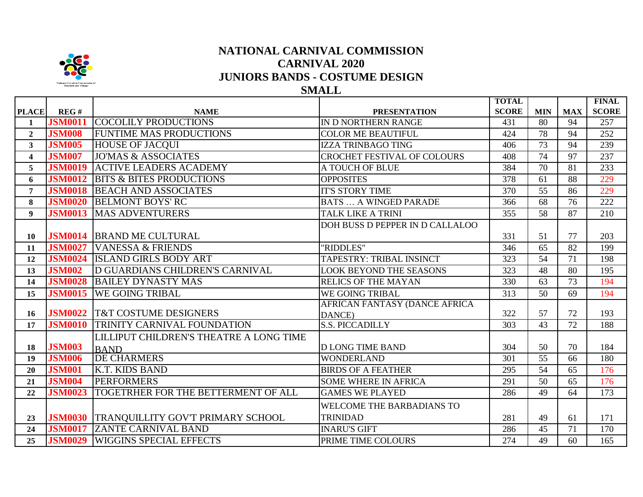

## **NATIONAL CARNIVAL COMMISSION CARNIVAL 2020 JUNIORS BANDS - COSTUME DESIGN**

**SMALL**

**TOTAL** 

**FINAL 1** 

|                |                        |                                                  |                                            | TOTAL<br><b>SCORE</b> |                  |                  | <b>FINAL</b><br><b>SCORE</b> |
|----------------|------------------------|--------------------------------------------------|--------------------------------------------|-----------------------|------------------|------------------|------------------------------|
| <b>PLACE</b>   | REG#<br><b>JSM0011</b> | <b>NAME</b><br><b>COCOLILY PRODUCTIONS</b>       | <b>PRESENTATION</b><br>IN D NORTHERN RANGE | 431                   | <b>MIN</b><br>80 | <b>MAX</b><br>94 | 257                          |
| $\mathbf{1}$   |                        |                                                  |                                            |                       |                  |                  |                              |
| $\overline{2}$ | <b>JSM008</b>          | <b>FUNTIME MAS PRODUCTIONS</b>                   | <b>COLOR ME BEAUTIFUL</b>                  | 424                   | 78               | 94               | 252                          |
| $\mathbf{3}$   | <b>JSM005</b>          | <b>HOUSE OF JACQUI</b>                           | <b>IZZA TRINBAGO TING</b>                  | 406                   | 73               | 94               | 239                          |
| 4              | <b>JSM007</b>          | <b>JO'MAS &amp; ASSOCIATES</b>                   | <b>CROCHET FESTIVAL OF COLOURS</b>         | 408                   | 74               | 97               | 237                          |
| 5              | <b>JSM0019</b>         | <b>ACTIVE LEADERS ACADEMY</b>                    | A TOUCH OF BLUE                            | 384                   | 70               | 81               | 233                          |
| 6              | <b>JSM0012</b>         | <b>BITS &amp; BITES PRODUCTIONS</b>              | <b>OPPOSITES</b>                           | 378                   | 61               | 88               | 229                          |
| 7              | <b>JSM0018</b>         | <b>BEACH AND ASSOCIATES</b>                      | <b>IT'S STORY TIME</b>                     | 370                   | 55               | 86               | 229                          |
| 8              | <b>JSM0020</b>         | <b>BELMONT BOYS' RC</b>                          | <b>BATS  A WINGED PARADE</b>               | 366                   | 68               | 76               | 222                          |
| 9 <sup>°</sup> | <b>JSM0013</b>         | <b>MAS ADVENTURERS</b>                           | <b>TALK LIKE A TRINI</b>                   | 355                   | 58               | 87               | 210                          |
|                |                        |                                                  | DOH BUSS D PEPPER IN D CALLALOO            |                       |                  |                  |                              |
| 10             |                        | <b>JSM0014 BRAND ME CULTURAL</b>                 |                                            | 331                   | 51               | 77               | 203                          |
| 11             | <b>JSM0027</b>         | <b>VANESSA &amp; FRIENDS</b>                     | "RIDDLES"                                  | 346                   | 65               | 82               | 199                          |
| 12             | <b>JSM0024</b>         | <b>ISLAND GIRLS BODY ART</b>                     | <b>TAPESTRY: TRIBAL INSINCT</b>            | 323                   | 54               | 71               | 198                          |
| 13             | <b>JSM002</b>          | D GUARDIANS CHILDREN'S CARNIVAL                  | <b>LOOK BEYOND THE SEASONS</b>             | 323                   | 48               | 80               | 195                          |
| 14             | <b>JSM0028</b>         | <b>BAILEY DYNASTY MAS</b>                        | <b>RELICS OF THE MAYAN</b>                 | 330                   | 63               | 73               | 194                          |
| 15             | <b>JSM0015</b>         | <b>WE GOING TRIBAL</b>                           | WE GOING TRIBAL                            | 313                   | 50               | 69               | 194                          |
|                |                        |                                                  | <b>AFRICAN FANTASY (DANCE AFRICA</b>       |                       |                  |                  |                              |
| 16             |                        | <b>JSM0022 T&amp;T COSTUME DESIGNERS</b>         | DANCE)                                     | 322                   | 57               | 72               | 193                          |
| 17             | <b>JSM0010</b>         | TRINITY CARNIVAL FOUNDATION                      | <b>S.S. PICCADILLY</b>                     | 303                   | 43               | 72               | 188                          |
|                |                        | LILLIPUT CHILDREN'S THEATRE A LONG TIME          |                                            |                       |                  |                  |                              |
| 18             | <b>JSM003</b>          | <b>BAND</b>                                      | <b>D LONG TIME BAND</b>                    | 304                   | 50               | 70               | 184                          |
| 19             | <b>JSM006</b>          | <b>DE CHARMERS</b>                               | <b>WONDERLAND</b>                          | 301                   | 55               | 66               | 180                          |
| 20             | <b>JSM001</b>          | K.T. KIDS BAND                                   | <b>BIRDS OF A FEATHER</b>                  | 295                   | 54               | 65               | 176                          |
| 21             | <b>JSM004</b>          | <b>PERFORMERS</b>                                | <b>SOME WHERE IN AFRICA</b>                | 291                   | 50               | 65               | 176                          |
| 22             | <b>JSM0023</b>         | TOGETRHER FOR THE BETTERMENT OF ALL              | <b>GAMES WE PLAYED</b>                     | 286                   | 49               | 64               | 173                          |
|                |                        |                                                  | WELCOME THE BARBADIANS TO                  |                       |                  |                  |                              |
| 23             |                        | <b>JSM0030 TRANQUILLITY GOV'T PRIMARY SCHOOL</b> | <b>TRINIDAD</b>                            | 281                   | 49               | 61               | 171                          |
| 24             | <b>JSM0017</b>         | <b>ZANTE CARNIVAL BAND</b>                       | <b>INARU'S GIFT</b>                        | 286                   | 45               | 71               | 170                          |
| 25             | <b>JSM0029</b>         | <b>WIGGINS SPECIAL EFFECTS</b>                   | PRIME TIME COLOURS                         | 274                   | 49               | 60               | 165                          |